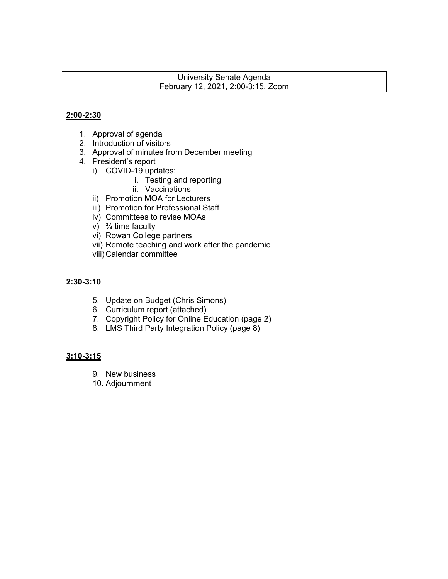#### University Senate Agenda February 12, 2021, 2:00-3:15, Zoom

### **2:00-2:30**

- 1. Approval of agenda
- 2. Introduction of visitors
- 3. Approval of minutes from December meeting
- 4. President's report
	- i) COVID-19 updates:
		- i. Testing and reporting
		- ii. Vaccinations
	- ii) Promotion MOA for Lecturers
	- iii) Promotion for Professional Staff
	- iv) Committees to revise MOAs
	- v)  $\frac{3}{4}$  time faculty
	- vi) Rowan College partners
	- vii) Remote teaching and work after the pandemic
	- viii)Calendar committee

#### **2:30-3:10**

- 5. Update on Budget (Chris Simons)
- 6. Curriculum report (attached)
- 7. Copyright Policy for Online Education (page 2)
- 8. LMS Third Party Integration Policy (page 8)

#### **3:10-3:15**

- 9. New business
- 10. Adjournment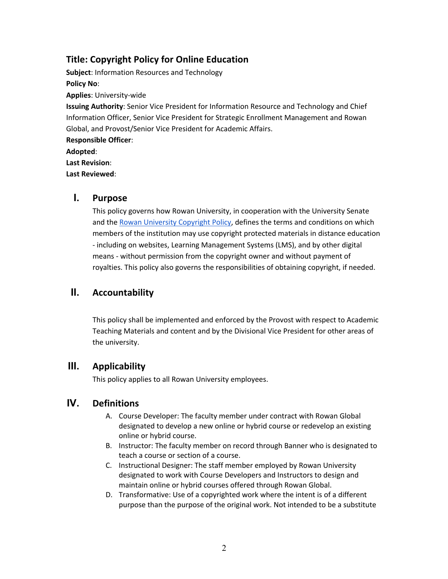## **Title: Copyright Policy for Online Education**

**Subject**: Information Resources and Technology **Policy No**: **Applies**: University-wide **Issuing Authority**: Senior Vice President for Information Resource and Technology and Chief Information Officer, Senior Vice President for Strategic Enrollment Management and Rowan Global, and Provost/Senior Vice President for Academic Affairs. **Responsible Officer**:

**Adopted**:

**Last Revision**:

**Last Reviewed**:

## **I. Purpose**

This policy governs how Rowan University, in cooperation with the University Senate and the Rowan University Copyright Policy, defines the terms and conditions on which members of the institution may use copyright protected materials in distance education - including on websites, Learning Management Systems (LMS), and by other digital means - without permission from the copyright owner and without payment of royalties. This policy also governs the responsibilities of obtaining copyright, if needed.

# **II. Accountability**

This policy shall be implemented and enforced by the Provost with respect to Academic Teaching Materials and content and by the Divisional Vice President for other areas of the university.

## **III. Applicability**

This policy applies to all Rowan University employees.

## **IV. Definitions**

- A. Course Developer: The faculty member under contract with Rowan Global designated to develop a new online or hybrid course or redevelop an existing online or hybrid course.
- B. Instructor: The faculty member on record through Banner who is designated to teach a course or section of a course.
- C. Instructional Designer: The staff member employed by Rowan University designated to work with Course Developers and Instructors to design and maintain online or hybrid courses offered through Rowan Global.
- D. Transformative: Use of a copyrighted work where the intent is of a different purpose than the purpose of the original work. Not intended to be a substitute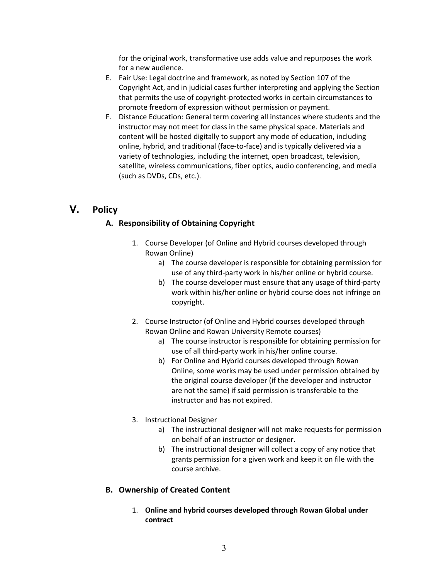for the original work, transformative use adds value and repurposes the work for a new audience.

- E. Fair Use: Legal doctrine and framework, as noted by Section 107 of the Copyright Act, and in judicial cases further interpreting and applying the Section that permits the use of copyright-protected works in certain circumstances to promote freedom of expression without permission or payment.
- F. Distance Education: General term covering all instances where students and the instructor may not meet for class in the same physical space. Materials and content will be hosted digitally to support any mode of education, including online, hybrid, and traditional (face-to-face) and is typically delivered via a variety of technologies, including the internet, open broadcast, television, satellite, wireless communications, fiber optics, audio conferencing, and media (such as DVDs, CDs, etc.).

## **V. Policy**

## **A. Responsibility of Obtaining Copyright**

- 1. Course Developer (of Online and Hybrid courses developed through Rowan Online)
	- a) The course developer is responsible for obtaining permission for use of any third-party work in his/her online or hybrid course.
	- b) The course developer must ensure that any usage of third-party work within his/her online or hybrid course does not infringe on copyright.
- 2. Course Instructor (of Online and Hybrid courses developed through Rowan Online and Rowan University Remote courses)
	- a) The course instructor is responsible for obtaining permission for use of all third-party work in his/her online course.
	- b) For Online and Hybrid courses developed through Rowan Online, some works may be used under permission obtained by the original course developer (if the developer and instructor are not the same) if said permission is transferable to the instructor and has not expired.
- 3. Instructional Designer
	- a) The instructional designer will not make requests for permission on behalf of an instructor or designer.
	- b) The instructional designer will collect a copy of any notice that grants permission for a given work and keep it on file with the course archive.

#### **B. Ownership of Created Content**

1. **Online and hybrid courses developed through Rowan Global under contract**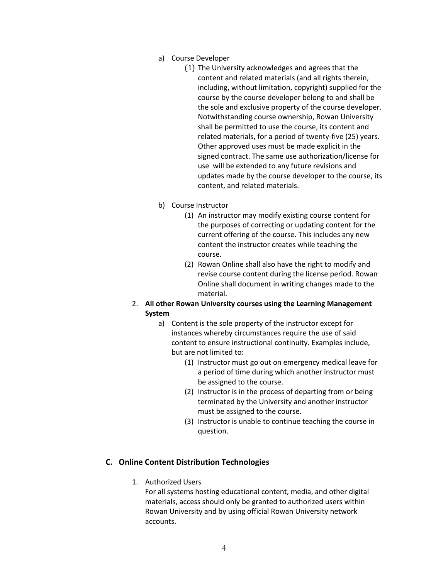- a) Course Developer
	- (1) The University acknowledges and agrees that the content and related materials (and all rights therein, including, without limitation, copyright) supplied for the course by the course developer belong to and shall be the sole and exclusive property of the course developer. Notwithstanding course ownership, Rowan University shall be permitted to use the course, its content and related materials, for a period of twenty-five (25) years. Other approved uses must be made explicit in the signed contract. The same use authorization/license for use will be extended to any future revisions and updates made by the course developer to the course, its content, and related materials.
- b) Course Instructor
	- (1) An instructor may modify existing course content for the purposes of correcting or updating content for the current offering of the course. This includes any new content the instructor creates while teaching the course.
	- (2) Rowan Online shall also have the right to modify and revise course content during the license period. Rowan Online shall document in writing changes made to the material.
- 2. **All other Rowan University courses using the Learning Management System**
	- a) Content is the sole property of the instructor except for instances whereby circumstances require the use of said content to ensure instructional continuity. Examples include, but are not limited to:
		- (1) Instructor must go out on emergency medical leave for a period of time during which another instructor must be assigned to the course.
		- (2) Instructor is in the process of departing from or being terminated by the University and another instructor must be assigned to the course.
		- (3) Instructor is unable to continue teaching the course in question.

#### **C. Online Content Distribution Technologies**

1. Authorized Users

For all systems hosting educational content, media, and other digital materials, access should only be granted to authorized users within Rowan University and by using official Rowan University network accounts.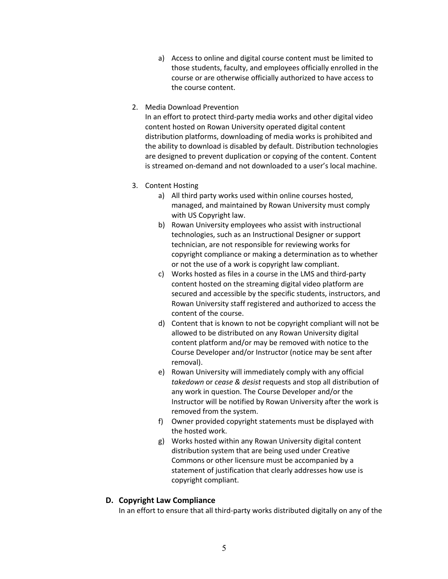- a) Access to online and digital course content must be limited to those students, faculty, and employees officially enrolled in the course or are otherwise officially authorized to have access to the course content.
- 2. Media Download Prevention

In an effort to protect third-party media works and other digital video content hosted on Rowan University operated digital content distribution platforms, downloading of media works is prohibited and the ability to download is disabled by default. Distribution technologies are designed to prevent duplication or copying of the content. Content is streamed on-demand and not downloaded to a user's local machine.

- 3. Content Hosting
	- a) All third party works used within online courses hosted, managed, and maintained by Rowan University must comply with US Copyright law.
	- b) Rowan University employees who assist with instructional technologies, such as an Instructional Designer or support technician, are not responsible for reviewing works for copyright compliance or making a determination as to whether or not the use of a work is copyright law compliant.
	- c) Works hosted as files in a course in the LMS and third-party content hosted on the streaming digital video platform are secured and accessible by the specific students, instructors, and Rowan University staff registered and authorized to access the content of the course.
	- d) Content that is known to not be copyright compliant will not be allowed to be distributed on any Rowan University digital content platform and/or may be removed with notice to the Course Developer and/or Instructor (notice may be sent after removal).
	- e) Rowan University will immediately comply with any official *takedown* or *cease & desist* requests and stop all distribution of any work in question. The Course Developer and/or the Instructor will be notified by Rowan University after the work is removed from the system.
	- f) Owner provided copyright statements must be displayed with the hosted work.
	- g) Works hosted within any Rowan University digital content distribution system that are being used under Creative Commons or other licensure must be accompanied by a statement of justification that clearly addresses how use is copyright compliant.

#### **D. Copyright Law Compliance**

In an effort to ensure that all third-party works distributed digitally on any of the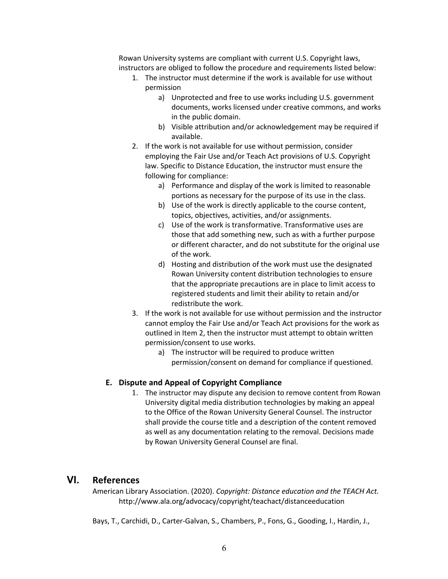Rowan University systems are compliant with current U.S. Copyright laws, instructors are obliged to follow the procedure and requirements listed below:

- 1. The instructor must determine if the work is available for use without permission
	- a) Unprotected and free to use works including U.S. government documents, works licensed under creative commons, and works in the public domain.
	- b) Visible attribution and/or acknowledgement may be required if available.
- 2. If the work is not available for use without permission, consider employing the Fair Use and/or Teach Act provisions of U.S. Copyright law. Specific to Distance Education, the instructor must ensure the following for compliance:
	- a) Performance and display of the work is limited to reasonable portions as necessary for the purpose of its use in the class.
	- b) Use of the work is directly applicable to the course content, topics, objectives, activities, and/or assignments.
	- c) Use of the work is transformative. Transformative uses are those that add something new, such as with a further purpose or different character, and do not substitute for the original use of the work.
	- d) Hosting and distribution of the work must use the designated Rowan University content distribution technologies to ensure that the appropriate precautions are in place to limit access to registered students and limit their ability to retain and/or redistribute the work.
- 3. If the work is not available for use without permission and the instructor cannot employ the Fair Use and/or Teach Act provisions for the work as outlined in Item 2, then the instructor must attempt to obtain written permission/consent to use works.
	- a) The instructor will be required to produce written permission/consent on demand for compliance if questioned.

#### **E. Dispute and Appeal of Copyright Compliance**

1. The instructor may dispute any decision to remove content from Rowan University digital media distribution technologies by making an appeal to the Office of the Rowan University General Counsel. The instructor shall provide the course title and a description of the content removed as well as any documentation relating to the removal. Decisions made by Rowan University General Counsel are final.

### **VI. References**

American Library Association. (2020). *Copyright: Distance education and the TEACH Act.* http://www.ala.org/advocacy/copyright/teachact/distanceeducation

Bays, T., Carchidi, D., Carter-Galvan, S., Chambers, P., Fons, G., Gooding, I., Hardin, J.,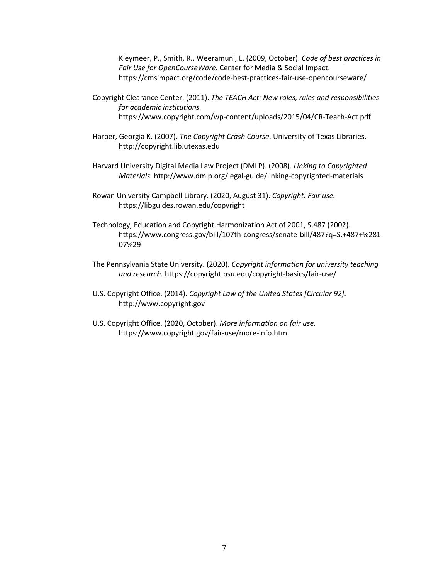Kleymeer, P., Smith, R., Weeramuni, L. (2009, October). *Code of best practices in Fair Use for OpenCourseWare.* Center for Media & Social Impact. https://cmsimpact.org/code/code-best-practices-fair-use-opencourseware/

- Copyright Clearance Center. (2011). *The TEACH Act: New roles, rules and responsibilities for academic institutions.*  https://www.copyright.com/wp-content/uploads/2015/04/CR-Teach-Act.pdf
- Harper, Georgia K. (2007). *The Copyright Crash Course*. University of Texas Libraries. http://copyright.lib.utexas.edu
- Harvard University Digital Media Law Project (DMLP). (2008). *Linking to Copyrighted Materials.* http://www.dmlp.org/legal-guide/linking-copyrighted-materials
- Rowan University Campbell Library. (2020, August 31). *Copyright: Fair use.* https://libguides.rowan.edu/copyright
- Technology, Education and Copyright Harmonization Act of 2001, S.487 (2002). https://www.congress.gov/bill/107th-congress/senate-bill/487?q=S.+487+%281 07%29
- The Pennsylvania State University. (2020). *Copyright information for university teaching and research.* https://copyright.psu.edu/copyright-basics/fair-use/
- U.S. Copyright Office. (2014). *Copyright Law of the United States [Circular 92]*. http://www.copyright.gov
- U.S. Copyright Office. (2020, October). *More information on fair use.* https://www.copyright.gov/fair-use/more-info.html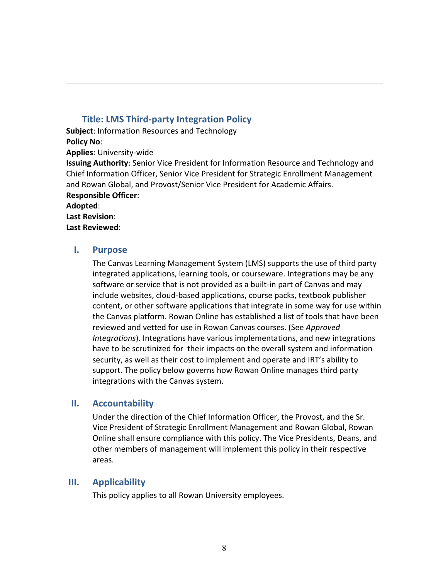## **Title: LMS Third-party Integration Policy**

**Subject**: Information Resources and Technology

**Policy No**:

**Applies**: University-wide

**Issuing Authority**: Senior Vice President for Information Resource and Technology and Chief Information Officer, Senior Vice President for Strategic Enrollment Management and Rowan Global, and Provost/Senior Vice President for Academic Affairs. **Responsible Officer**:

#### **Adopted**:

**Last Revision**:

**Last Reviewed**:

### **I. Purpose**

The Canvas Learning Management System (LMS) supports the use of third party integrated applications, learning tools, or courseware. Integrations may be any software or service that is not provided as a built-in part of Canvas and may include websites, cloud-based applications, course packs, textbook publisher content, or other software applications that integrate in some way for use within the Canvas platform. Rowan Online has established a list of tools that have been reviewed and vetted for use in Rowan Canvas courses. (See *Approved Integrations*). Integrations have various implementations, and new integrations have to be scrutinized for their impacts on the overall system and information security, as well as their cost to implement and operate and IRT's ability to support. The policy below governs how Rowan Online manages third party integrations with the Canvas system.

## **II. Accountability**

Under the direction of the Chief Information Officer, the Provost, and the Sr. Vice President of Strategic Enrollment Management and Rowan Global, Rowan Online shall ensure compliance with this policy. The Vice Presidents, Deans, and other members of management will implement this policy in their respective areas.

## **III. Applicability**

This policy applies to all Rowan University employees.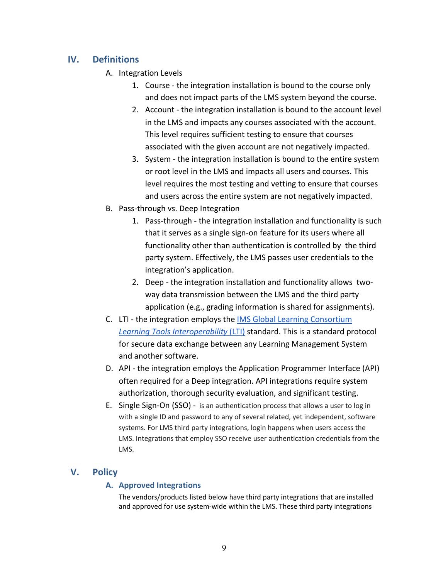## **IV. Definitions**

- A. Integration Levels
	- 1. Course the integration installation is bound to the course only and does not impact parts of the LMS system beyond the course.
	- 2. Account the integration installation is bound to the account level in the LMS and impacts any courses associated with the account. This level requires sufficient testing to ensure that courses associated with the given account are not negatively impacted.
	- 3. System the integration installation is bound to the entire system or root level in the LMS and impacts all users and courses. This level requires the most testing and vetting to ensure that courses and users across the entire system are not negatively impacted.
- B. Pass-through vs. Deep Integration
	- 1. Pass-through the integration installation and functionality is such that it serves as a single sign-on feature for its users where all functionality other than authentication is controlled by the third party system. Effectively, the LMS passes user credentials to the integration's application.
	- 2. Deep the integration installation and functionality allows twoway data transmission between the LMS and the third party application (e.g., grading information is shared for assignments).
- C. LTI the integration employs the IMS Global Learning Consortium *Learning Tools Interoperability* (LTI) standard. This is a standard protocol for secure data exchange between any Learning Management System and another software.
- D. API the integration employs the Application Programmer Interface (API) often required for a Deep integration. API integrations require system authorization, thorough security evaluation, and significant testing.
- E. Single Sign-On (SSO) is an authentication process that allows a user to log in with a single ID and password to any of several related, yet independent, software systems. For LMS third party integrations, login happens when users access the LMS. Integrations that employ SSO receive user authentication credentials from the LMS.

# **V. Policy**

## **A. Approved Integrations**

The vendors/products listed below have third party integrations that are installed and approved for use system-wide within the LMS. These third party integrations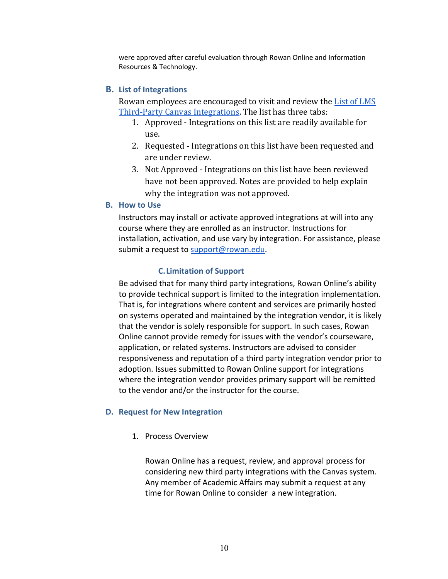were approved after careful evaluation through Rowan Online and Information Resources & Technology.

### **B. List of Integrations**

Rowan employees are encouraged to visit and review the **List of LMS** Third-Party Canvas Integrations. The list has three tabs:

- 1. Approved Integrations on this list are readily available for use.
- 2. Requested Integrations on this list have been requested and are under review.
- 3. Not Approved Integrations on this list have been reviewed have not been approved. Notes are provided to help explain why the integration was not approved.

#### **B. How to Use**

Instructors may install or activate approved integrations at will into any course where they are enrolled as an instructor. Instructions for installation, activation, and use vary by integration. For assistance, please submit a request to support@rowan.edu.

### **C.Limitation of Support**

Be advised that for many third party integrations, Rowan Online's ability to provide technical support is limited to the integration implementation. That is, for integrations where content and services are primarily hosted on systems operated and maintained by the integration vendor, it is likely that the vendor is solely responsible for support. In such cases, Rowan Online cannot provide remedy for issues with the vendor's courseware, application, or related systems. Instructors are advised to consider responsiveness and reputation of a third party integration vendor prior to adoption. Issues submitted to Rowan Online support for integrations where the integration vendor provides primary support will be remitted to the vendor and/or the instructor for the course.

#### **D. Request for New Integration**

1. Process Overview

Rowan Online has a request, review, and approval process for considering new third party integrations with the Canvas system. Any member of Academic Affairs may submit a request at any time for Rowan Online to consider a new integration.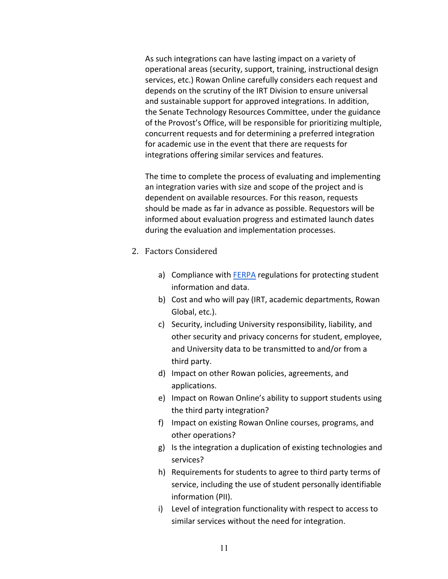As such integrations can have lasting impact on a variety of operational areas (security, support, training, instructional design services, etc.) Rowan Online carefully considers each request and depends on the scrutiny of the IRT Division to ensure universal and sustainable support for approved integrations. In addition, the Senate Technology Resources Committee, under the guidance of the Provost's Office, will be responsible for prioritizing multiple, concurrent requests and for determining a preferred integration for academic use in the event that there are requests for integrations offering similar services and features.

The time to complete the process of evaluating and implementing an integration varies with size and scope of the project and is dependent on available resources. For this reason, requests should be made as far in advance as possible. Requestors will be informed about evaluation progress and estimated launch dates during the evaluation and implementation processes.

- 2. Factors Considered
	- a) Compliance with **FERPA** regulations for protecting student information and data.
	- b) Cost and who will pay (IRT, academic departments, Rowan Global, etc.).
	- c) Security, including University responsibility, liability, and other security and privacy concerns for student, employee, and University data to be transmitted to and/or from a third party.
	- d) Impact on other Rowan policies, agreements, and applications.
	- e) Impact on Rowan Online's ability to support students using the third party integration?
	- f) Impact on existing Rowan Online courses, programs, and other operations?
	- g) Is the integration a duplication of existing technologies and services?
	- h) Requirements for students to agree to third party terms of service, including the use of student personally identifiable information (PII).
	- i) Level of integration functionality with respect to access to similar services without the need for integration.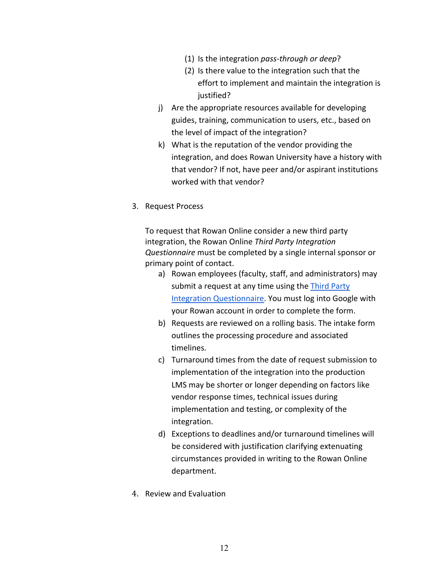- (1) Is the integration *pass-through or deep*?
- (2) Is there value to the integration such that the effort to implement and maintain the integration is justified?
- j) Are the appropriate resources available for developing guides, training, communication to users, etc., based on the level of impact of the integration?
- k) What is the reputation of the vendor providing the integration, and does Rowan University have a history with that vendor? If not, have peer and/or aspirant institutions worked with that vendor?
- 3. Request Process

To request that Rowan Online consider a new third party integration, the Rowan Online *Third Party Integration Questionnaire* must be completed by a single internal sponsor or primary point of contact.

- a) Rowan employees (faculty, staff, and administrators) may submit a request at any time using the Third Party Integration Questionnaire. You must log into Google with your Rowan account in order to complete the form.
- b) Requests are reviewed on a rolling basis. The intake form outlines the processing procedure and associated timelines.
- c) Turnaround times from the date of request submission to implementation of the integration into the production LMS may be shorter or longer depending on factors like vendor response times, technical issues during implementation and testing, or complexity of the integration.
- d) Exceptions to deadlines and/or turnaround timelines will be considered with justification clarifying extenuating circumstances provided in writing to the Rowan Online department.
- 4. Review and Evaluation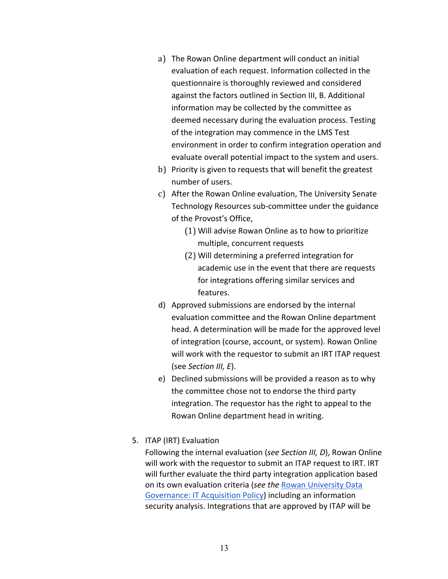- a) The Rowan Online department will conduct an initial evaluation of each request. Information collected in the questionnaire is thoroughly reviewed and considered against the factors outlined in Section III, B. Additional information may be collected by the committee as deemed necessary during the evaluation process. Testing of the integration may commence in the LMS Test environment in order to confirm integration operation and evaluate overall potential impact to the system and users.
- b) Priority is given to requests that will benefit the greatest number of users.
- c) After the Rowan Online evaluation, The University Senate Technology Resources sub-committee under the guidance of the Provost's Office,
	- (1) Will advise Rowan Online as to how to prioritize multiple, concurrent requests
	- (2) Will determining a preferred integration for academic use in the event that there are requests for integrations offering similar services and features.
- d) Approved submissions are endorsed by the internal evaluation committee and the Rowan Online department head. A determination will be made for the approved level of integration (course, account, or system). Rowan Online will work with the requestor to submit an IRT ITAP request (see *Section III, E*).
- e) Declined submissions will be provided a reason as to why the committee chose not to endorse the third party integration. The requestor has the right to appeal to the Rowan Online department head in writing.
- 5. ITAP (IRT) Evaluation

Following the internal evaluation (*see Section III, D*), Rowan Online will work with the requestor to submit an ITAP request to IRT. IRT will further evaluate the third party integration application based on its own evaluation criteria (*see the* Rowan University Data Governance: IT Acquisition Policy) including an information security analysis. Integrations that are approved by ITAP will be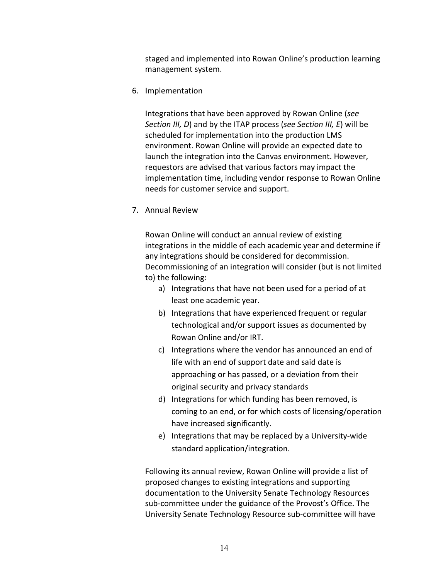staged and implemented into Rowan Online's production learning management system.

6. Implementation

Integrations that have been approved by Rowan Online (*see Section III, D*) and by the ITAP process (*see Section III, E*) will be scheduled for implementation into the production LMS environment. Rowan Online will provide an expected date to launch the integration into the Canvas environment. However, requestors are advised that various factors may impact the implementation time, including vendor response to Rowan Online needs for customer service and support.

7. Annual Review

Rowan Online will conduct an annual review of existing integrations in the middle of each academic year and determine if any integrations should be considered for decommission. Decommissioning of an integration will consider (but is not limited to) the following:

- a) Integrations that have not been used for a period of at least one academic year.
- b) Integrations that have experienced frequent or regular technological and/or support issues as documented by Rowan Online and/or IRT.
- c) Integrations where the vendor has announced an end of life with an end of support date and said date is approaching or has passed, or a deviation from their original security and privacy standards
- d) Integrations for which funding has been removed, is coming to an end, or for which costs of licensing/operation have increased significantly.
- e) Integrations that may be replaced by a University-wide standard application/integration.

Following its annual review, Rowan Online will provide a list of proposed changes to existing integrations and supporting documentation to the University Senate Technology Resources sub-committee under the guidance of the Provost's Office. The University Senate Technology Resource sub-committee will have